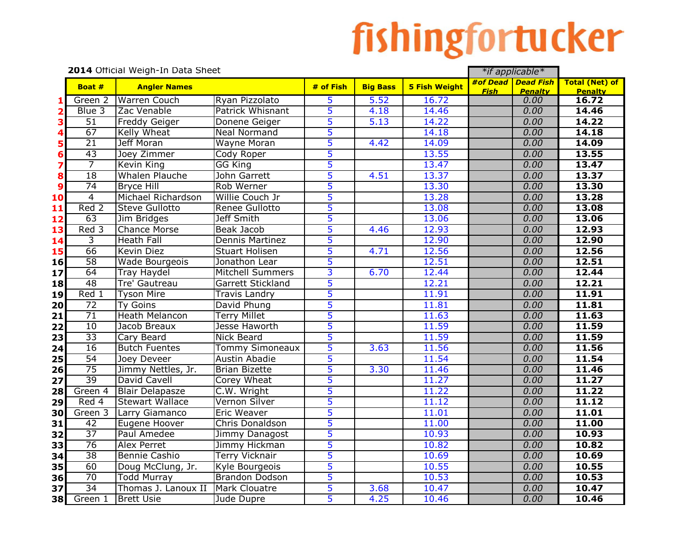## fishingfortucker

|                         | 2014 Official Weigh-In Data Sheet |                        |                          |                |                 |                      |             | *if applicable*                      |                                         |
|-------------------------|-----------------------------------|------------------------|--------------------------|----------------|-----------------|----------------------|-------------|--------------------------------------|-----------------------------------------|
|                         | Boat #                            | <b>Angler Names</b>    |                          | $#$ of Fish    | <b>Big Bass</b> | <b>5 Fish Weight</b> | <b>Fish</b> | #of Dead Dead Fish<br><b>Penalty</b> | <b>Total (Net) of</b><br><b>Penalty</b> |
| 1                       | Green 2                           | <b>Warren Couch</b>    | Ryan Pizzolato           | 5              | 5.52            | 16.72                |             | 0.00                                 | 16.72                                   |
| $\overline{\mathbf{2}}$ | Blue 3                            | Zac Venable            | <b>Patrick Whisnant</b>  | 5              | 4.18            | 14.46                |             | 0.00                                 | 14.46                                   |
| 3                       | $\overline{51}$                   | Freddy Geiger          | Donene Geiger            | 5              | 5.13            | 14.22                |             | 0.00                                 | 14.22                                   |
| 4                       | 67                                | Kelly Wheat            | Neal Normand             | 5              |                 | 14.18                |             | 0.00                                 | 14.18                                   |
| 5                       | $\overline{21}$                   | <b>Jeff Moran</b>      | Wayne Moran              | 5              | 4.42            | 14.09                |             | 0.00                                 | 14.09                                   |
| $6\phantom{1}6$         | 43                                | Joey Zimmer            | Cody Roper               | 5              |                 | 13.55                |             | 0.00                                 | 13.55                                   |
| $\overline{\mathbf{z}}$ | $\overline{7}$                    | Kevin King             | <b>GG King</b>           | 5              |                 | 13.47                |             | 0.00                                 | 13.47                                   |
| 8                       | $\overline{18}$                   | Whalen Plauche         | John Garrett             | 5              | 4.51            | 13.37                |             | 0.00                                 | 13.37                                   |
| $\boldsymbol{9}$        | $\overline{74}$                   | <b>Bryce Hill</b>      | Rob Werner               | 5              |                 | 13.30                |             | 0.00                                 | 13.30                                   |
| 10                      | $\overline{4}$                    | Michael Richardson     | Willie Couch Jr          | 5              |                 | 13.28                |             | 0.00                                 | 13.28                                   |
| 11                      | Red 2                             | <b>Steve Gullotto</b>  | Renee Gullotto           | 5              |                 | 13.08                |             | 0.00                                 | 13.08                                   |
| 12                      | 63                                | Jim Bridges            | Jeff Smith               | 5              |                 | 13.06                |             | 0.00                                 | 13.06                                   |
| 13                      | Red 3                             | <b>Chance Morse</b>    | <b>Beak Jacob</b>        | 5              | 4.46            | 12.93                |             | 0.00                                 | 12.93                                   |
| 14                      | س                                 | <b>Heath Fall</b>      | Dennis Martinez          | 5              |                 | 12.90                |             | 0.00                                 | 12.90                                   |
| 15                      | 66                                | <b>Kevin Diez</b>      | <b>Stuart Holisen</b>    | 5              | 4.71            | 12.56                |             | 0.00                                 | 12.56                                   |
| 16                      | 58                                | <b>Wade Bourgeois</b>  | Jonathon Lear            | 5              |                 | 12.51                |             | 0.00                                 | 12.51                                   |
| 17                      | 64                                | <b>Tray Haydel</b>     | <b>Mitchell Summers</b>  | $\overline{3}$ | 6.70            | 12.44                |             | 0.00                                 | 12.44                                   |
| 18                      | 48                                | Tre' Gautreau          | Garrett Stickland        | 5              |                 | 12.21                |             | 0.00                                 | 12.21                                   |
| 19                      | Red 1                             | <b>Tyson Mire</b>      | <b>Travis Landry</b>     | 5              |                 | 11.91                |             | 0.00                                 | 11.91                                   |
| 20                      | $\overline{72}$                   | <b>Ty Goins</b>        | David Phung              | 5              |                 | 11.81                |             | 0.00                                 | 11.81                                   |
| 21                      | 71                                | <b>Heath Melancon</b>  | <b>Terry Millet</b>      | 5              |                 | 11.63                |             | 0.00                                 | 11.63                                   |
| 22                      | 10                                | Jacob Breaux           | Jesse Haworth            | 5              |                 | 11.59                |             | 0.00                                 | 11.59                                   |
| 23                      | $\overline{33}$                   | Cary Beard             | Nick Beard               | 5              |                 | 11.59                |             | 0.00                                 | 11.59                                   |
| 24                      | 16                                | <b>Butch Fuentes</b>   | Tommy Simoneaux          | 5              | 3.63            | 11.56                |             | 0.00                                 | 11.56                                   |
| 25                      | 54                                | Joey Deveer            | Austin Abadie            | 5              |                 | 11.54                |             | 0.00                                 | 11.54                                   |
| 26                      | $\overline{75}$                   | Jimmy Nettles, Jr.     | <b>Brian Bizette</b>     | 5              | 3.30            | 11.46                |             | 0.00                                 | 11.46                                   |
| 27                      | 39                                | David Cavell           | Corey Wheat              | 5              |                 | 11.27                |             | 0.00                                 | 11.27                                   |
| 28                      | Green 4                           | <b>Blair Delapasze</b> | $\overline{C.W.}$ Wright | 5              |                 | 11.22                |             | 0.00                                 | 11.22                                   |
| 29                      | Red 4                             | <b>Stewart Wallace</b> | Vernon Silver            | 5              |                 | 11.12                |             | 0.00                                 | 11.12                                   |
| 30l                     | Green 3                           | Larry Giamanco         | Eric Weaver              | 5              |                 | 11.01                |             | 0.00                                 | 11.01                                   |
| 31                      | $\overline{42}$                   | Eugene Hoover          | Chris Donaldson          | 5              |                 | 11.00                |             | 0.00                                 | 11.00                                   |
| 32                      | $\overline{37}$                   | Paul Amedee            | Jimmy Danagost           | 5              |                 | 10.93                |             | 0.00                                 | 10.93                                   |
| 33                      | 76                                | <b>Alex Perret</b>     | Jimmy Hickman            | 5              |                 | 10.82                |             | 0.00                                 | 10.82                                   |
| 34                      | $\overline{38}$                   | Bennie Cashio          | <b>Terry Vicknair</b>    | 5              |                 | 10.69                |             | 0.00                                 | 10.69                                   |
| 35                      | 60                                | Doug McClung, Jr.      | Kyle Bourgeois           | 5              |                 | 10.55                |             | 0.00                                 | 10.55                                   |
| 36                      | 70                                | <b>Todd Murray</b>     | <b>Brandon Dodson</b>    | 5              |                 | 10.53                |             | 0.00                                 | 10.53                                   |
| 37                      | 34                                | Thomas J. Lanoux II    | <b>Mark Clouatre</b>     | 5              | 3.68            | 10.47                |             | 0.00                                 | 10.47                                   |
| 38l                     | Green 1                           | <b>Brett Usie</b>      | Jude Dupre               | 5              | 4.25            | 10.46                |             | 0.00                                 | 10.46                                   |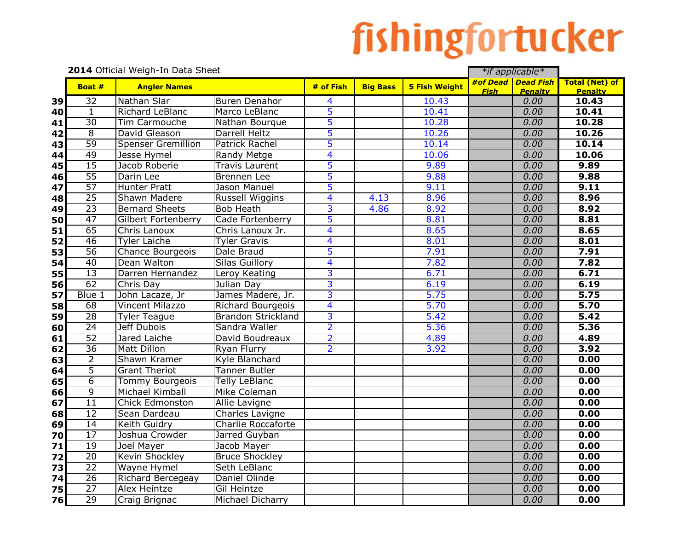## fishingfortucker

|                       | 2014 Official Weigh-In Data Sheet |                           |                         |                 |                      | *if applicable* |                                      |                                         |  |
|-----------------------|-----------------------------------|---------------------------|-------------------------|-----------------|----------------------|-----------------|--------------------------------------|-----------------------------------------|--|
| Boat #                | <b>Angler Names</b>               |                           | # of Fish               | <b>Big Bass</b> | <b>5 Fish Weight</b> | <b>Fish</b>     | #of Dead Dead Fish<br><b>Penalty</b> | <b>Total (Net) of</b><br><b>Penalty</b> |  |
| $\overline{32}$<br>39 | Nathan Slar                       | <b>Buren Denahor</b>      | $\overline{\mathbf{A}}$ |                 | 10.43                |                 | 0.00                                 | 10.43                                   |  |
| $\mathbf{1}$<br>40    | Richard LeBlanc                   | Marco LeBlanc             | 5                       |                 | 10.41                |                 | 0.00                                 | 10.41                                   |  |
| $\overline{30}$<br>41 | Tim Carmouche                     | Nathan Bourque            | 5                       |                 | 10.28                |                 | 0.00                                 | 10.28                                   |  |
| $\overline{8}$<br>42  | David Gleason                     | Darrell Heltz             | 5                       |                 | 10.26                |                 | 0.00                                 | 10.26                                   |  |
| 59<br>43              | <b>Spenser Gremillion</b>         | <b>Patrick Rachel</b>     | 5                       |                 | 10.14                |                 | 0.00                                 | 10.14                                   |  |
| 49<br>44              | Jesse Hymel                       | Randy Metge               | $\overline{\mathbf{4}}$ |                 | 10.06                |                 | 0.00                                 | 10.06                                   |  |
| 15<br>45              | Jacob Roberie                     | <b>Travis Laurent</b>     | 5                       |                 | 9.89                 |                 | 0.00                                 | 9.89                                    |  |
| 55<br>46              | Darin Lee                         | Brennen Lee               | 5                       |                 | 9.88                 |                 | 0.00                                 | 9.88                                    |  |
| 57<br>47              | <b>Hunter Pratt</b>               | Jason Manuel              | 5                       |                 | 9.11                 |                 | 0.00                                 | 9.11                                    |  |
| $\overline{25}$<br>48 | <b>Shawn Madere</b>               | <b>Russell Wiggins</b>    | $\overline{\mathbf{4}}$ | 4.13            | 8.96                 |                 | 0.00                                 | 8.96                                    |  |
| $\overline{23}$<br>49 | <b>Bernard Sheets</b>             | <b>Bob Heath</b>          | 3                       | 4.86            | 8.92                 |                 | 0.00                                 | 8.92                                    |  |
| 47<br>50              | Gilbert Fortenberry               | Cade Fortenberry          | 5                       |                 | 8.81                 |                 | 0.00                                 | 8.81                                    |  |
| 65<br>51              | Chris Lanoux                      | Chris Lanoux Jr.          | $\overline{\mathbf{4}}$ |                 | 8.65                 |                 | 0.00                                 | 8.65                                    |  |
| 46<br>52              | <b>Tyler Laiche</b>               | <b>Tyler Gravis</b>       | $\overline{\mathbf{4}}$ |                 | 8.01                 |                 | 0.00                                 | 8.01                                    |  |
| 56<br>53              | Chance Bourgeois                  | Dale Braud                | 5                       |                 | 7.91                 |                 | 0.00                                 | 7.91                                    |  |
| 40<br>54              | Dean Walton                       | <b>Silas Guillory</b>     | $\overline{\mathbf{4}}$ |                 | 7.82                 |                 | 0.00                                 | 7.82                                    |  |
| $\overline{13}$<br>55 | Darren Hernandez                  | Leroy Keating             | 3                       |                 | 6.71                 |                 | 0.00                                 | 6.71                                    |  |
| 62<br>56              | Chris Day                         | Julian Day                | 3                       |                 | 6.19                 |                 | 0.00                                 | 6.19                                    |  |
| Blue 1<br>57          | John Lacaze, Jr                   | James Madere, Jr.         | $\overline{3}$          |                 | 5.75                 |                 | 0.00                                 | 5.75                                    |  |
| 68<br>58              | <b>Vincent Milazzo</b>            | Richard Bourgeois         | $\overline{\mathbf{4}}$ |                 | 5.70                 |                 | 0.00                                 | 5.70                                    |  |
| $\overline{28}$<br>59 | <b>Tyler Teague</b>               | <b>Brandon Strickland</b> | 3                       |                 | 5.42                 |                 | 0.00                                 | 5.42                                    |  |
| $\overline{24}$<br>60 | <b>Jeff Dubois</b>                | Sandra Waller             | $\overline{2}$          |                 | 5.36                 |                 | 0.00                                 | 5.36                                    |  |
| $\overline{52}$<br>61 | Jared Laiche                      | David Boudreaux           | $\overline{2}$          |                 | 4.89                 |                 | 0.00                                 | 4.89                                    |  |
| $\overline{36}$<br>62 | <b>Matt Dillon</b>                | <b>Ryan Flurry</b>        | $\overline{2}$          |                 | 3.92                 |                 | 0.00                                 | 3.92                                    |  |
| $\overline{2}$<br>63  | Shawn Kramer                      | Kyle Blanchard            |                         |                 |                      |                 | 0.00                                 | 0.00                                    |  |
| $\overline{5}$<br>64  | <b>Grant Theriot</b>              | <b>Tanner Butler</b>      |                         |                 |                      |                 | 0.00                                 | 0.00                                    |  |
| $\overline{6}$<br>65  | <b>Tommy Bourgeois</b>            | <b>Telly LeBlanc</b>      |                         |                 |                      |                 | 0.00                                 | 0.00                                    |  |
| $\overline{9}$<br>66  | Michael Kimball                   | Mike Coleman              |                         |                 |                      |                 | 0.00                                 | 0.00                                    |  |
| $\overline{11}$<br>67 | <b>Chick Edmonston</b>            | <b>Allie Lavigne</b>      |                         |                 |                      |                 | 0.00                                 | 0.00                                    |  |
| 12<br>68              | Sean Dardeau                      | <b>Charles Lavigne</b>    |                         |                 |                      |                 | 0.00                                 | 0.00                                    |  |
| $\overline{14}$<br>69 | Keith Guidry                      | <b>Charlie Roccaforte</b> |                         |                 |                      |                 | 0.00                                 | 0.00                                    |  |
| $\overline{17}$<br>70 | Joshua Crowder                    | Jarred Guyban             |                         |                 |                      |                 | 0.00                                 | 0.00                                    |  |
| 19<br>71              | Joel Mayer                        | Jacob Mayer               |                         |                 |                      |                 | 0.00                                 | 0.00                                    |  |
| $\overline{20}$<br>72 | Kevin Shockley                    | <b>Bruce Shockley</b>     |                         |                 |                      |                 | 0.00                                 | 0.00                                    |  |
| $\overline{22}$<br>73 | <b>Wayne Hymel</b>                | Seth LeBlanc              |                         |                 |                      |                 | 0.00                                 | 0.00                                    |  |
| $\overline{26}$<br>74 | Richard Bercegeay                 | Daniel Olinde             |                         |                 |                      |                 | 0.00                                 | 0.00                                    |  |
| 27<br>75              | <b>Alex Heintze</b>               | <b>Gil Heintze</b>        |                         |                 |                      |                 | 0.00                                 | 0.00                                    |  |
| 29<br>76              | Craig Brignac                     | Michael Dicharry          |                         |                 |                      |                 | 0.00                                 | 0.00                                    |  |